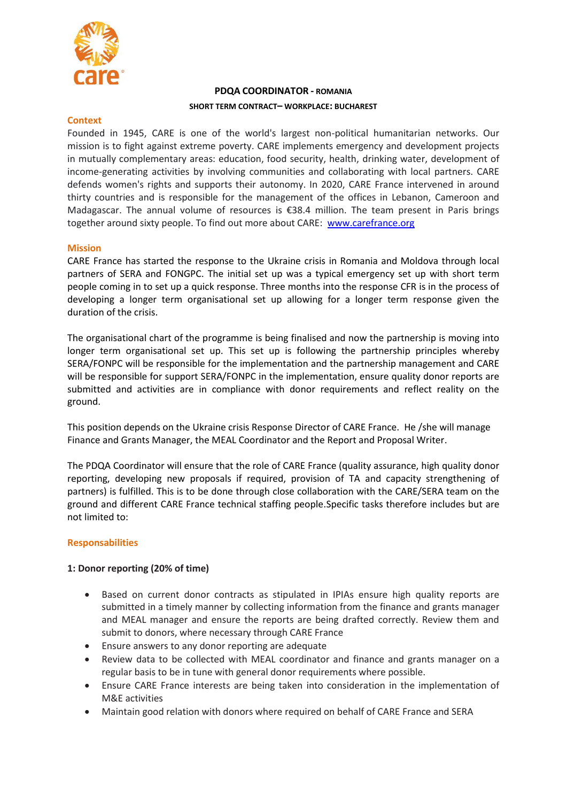

# **PDQA COORDINATOR - ROMANIA SHORT TERM CONTRACT– WORKPLACE: BUCHAREST**

#### **Context**

Founded in 1945, CARE is one of the world's largest non-political humanitarian networks. Our mission is to fight against extreme poverty. CARE implements emergency and development projects in mutually complementary areas: education, food security, health, drinking water, development of income-generating activities by involving communities and collaborating with local partners. CARE defends women's rights and supports their autonomy. In 2020, CARE France intervened in around thirty countries and is responsible for the management of the offices in Lebanon, Cameroon and Madagascar. The annual volume of resources is €38.4 million. The team present in Paris brings together around sixty people. To find out more about CARE: [www.carefrance.org](http://www.carefrance.org/)

### **Mission**

CARE France has started the response to the Ukraine crisis in Romania and Moldova through local partners of SERA and FONGPC. The initial set up was a typical emergency set up with short term people coming in to set up a quick response. Three months into the response CFR is in the process of developing a longer term organisational set up allowing for a longer term response given the duration of the crisis.

The organisational chart of the programme is being finalised and now the partnership is moving into longer term organisational set up. This set up is following the partnership principles whereby SERA/FONPC will be responsible for the implementation and the partnership management and CARE will be responsible for support SERA/FONPC in the implementation, ensure quality donor reports are submitted and activities are in compliance with donor requirements and reflect reality on the ground.

This position depends on the Ukraine crisis Response Director of CARE France. He /she will manage Finance and Grants Manager, the MEAL Coordinator and the Report and Proposal Writer.

The PDQA Coordinator will ensure that the role of CARE France (quality assurance, high quality donor reporting, developing new proposals if required, provision of TA and capacity strengthening of partners) is fulfilled. This is to be done through close collaboration with the CARE/SERA team on the ground and different CARE France technical staffing people.Specific tasks therefore includes but are not limited to:

### **Responsabilities**

### **1: Donor reporting (20% of time)**

- Based on current donor contracts as stipulated in IPIAs ensure high quality reports are submitted in a timely manner by collecting information from the finance and grants manager and MEAL manager and ensure the reports are being drafted correctly. Review them and submit to donors, where necessary through CARE France
- Ensure answers to any donor reporting are adequate
- Review data to be collected with MEAL coordinator and finance and grants manager on a regular basis to be in tune with general donor requirements where possible.
- Ensure CARE France interests are being taken into consideration in the implementation of M&E activities
- Maintain good relation with donors where required on behalf of CARE France and SERA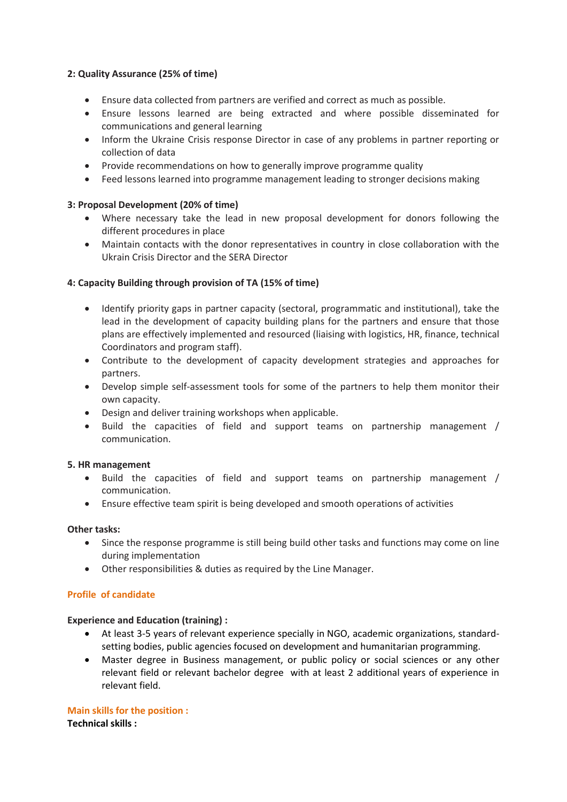## **2: Quality Assurance (25% of time)**

- Ensure data collected from partners are verified and correct as much as possible.
- Ensure lessons learned are being extracted and where possible disseminated for communications and general learning
- Inform the Ukraine Crisis response Director in case of any problems in partner reporting or collection of data
- Provide recommendations on how to generally improve programme quality
- Feed lessons learned into programme management leading to stronger decisions making

## **3: Proposal Development (20% of time)**

- Where necessary take the lead in new proposal development for donors following the different procedures in place
- Maintain contacts with the donor representatives in country in close collaboration with the Ukrain Crisis Director and the SERA Director

### **4: Capacity Building through provision of TA (15% of time)**

- Identify priority gaps in partner capacity (sectoral, programmatic and institutional), take the lead in the development of capacity building plans for the partners and ensure that those plans are effectively implemented and resourced (liaising with logistics, HR, finance, technical Coordinators and program staff).
- Contribute to the development of capacity development strategies and approaches for partners.
- Develop simple self-assessment tools for some of the partners to help them monitor their own capacity.
- Design and deliver training workshops when applicable.
- Build the capacities of field and support teams on partnership management / communication.

### **5. HR management**

- Build the capacities of field and support teams on partnership management / communication.
- Ensure effective team spirit is being developed and smooth operations of activities

### **Other tasks:**

- Since the response programme is still being build other tasks and functions may come on line during implementation
- Other responsibilities & duties as required by the Line Manager.

### **Profile of candidate**

### **Experience and Education (training) :**

- At least 3-5 years of relevant experience specially in NGO, academic organizations, standardsetting bodies, public agencies focused on development and humanitarian programming.
- Master degree in Business management, or public policy or social sciences or any other relevant field or relevant bachelor degree with at least 2 additional years of experience in relevant field.

**Main skills for the position :** 

**Technical skills :**